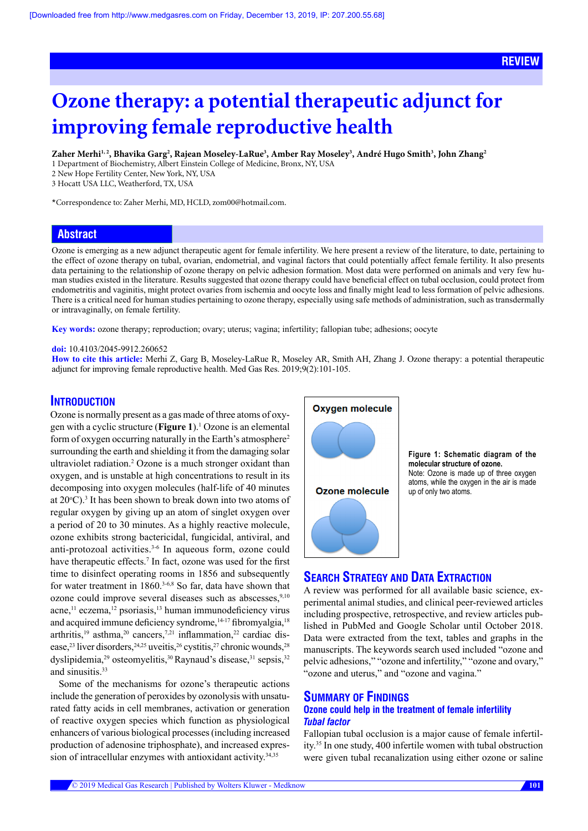# **ReVIEW**

# **Ozone therapy: a potential therapeutic adjunct for improving female reproductive health**

 $\bf{Zaher Merhi^{1,2}, Bhavika Garg^2, Rajean Moseley-LaRue^3, Amber Ray Moseley^3, André Hugo Smith^3, John Zhang^2$ 

1 Department of Biochemistry, Albert Einstein College of Medicine, Bronx, NY, USA

2 New Hope Fertility Center, New York, NY, USA

3 Hocatt USA LLC, Weatherford, TX, USA

\*Correspondence to: Zaher Merhi, MD, HCLD, zom00@hotmail.com.

# **Abstract**

Ozone is emerging as a new adjunct therapeutic agent for female infertility. We here present a review of the literature, to date, pertaining to the effect of ozone therapy on tubal, ovarian, endometrial, and vaginal factors that could potentially affect female fertility. It also presents data pertaining to the relationship of ozone therapy on pelvic adhesion formation. Most data were performed on animals and very few human studies existed in the literature. Results suggested that ozone therapy could have beneficial effect on tubal occlusion, could protect from endometritis and vaginitis, might protect ovaries from ischemia and oocyte loss and finally might lead to less formation of pelvic adhesions. There is a critical need for human studies pertaining to ozone therapy, especially using safe methods of administration, such as transdermally or intravaginally, on female fertility.

**Key words:** ozone therapy; reproduction; ovary; uterus; vagina; infertility; fallopian tube; adhesions; oocyte

## **doi:** 10.4103/2045-9912.260652

**How to cite this article:** Merhi Z, Garg B, Moseley-LaRue R, Moseley AR, Smith AH, Zhang J. Ozone therapy: a potential therapeutic adjunct for improving female reproductive health. Med Gas Res. 2019;9(2):101-105.

# **INTRODUCTION**

Ozone is normally present as a gas made of three atoms of oxygen with a cyclic structure (**Figure 1**).1 Ozone is an elemental form of oxygen occurring naturally in the Earth's atmosphere2 surrounding the earth and shielding it from the damaging solar ultraviolet radiation.<sup>2</sup> Ozone is a much stronger oxidant than oxygen, and is unstable at high concentrations to result in its decomposing into oxygen molecules (half-life of 40 minutes at  $20^{\circ}$ C).<sup>3</sup> It has been shown to break down into two atoms of regular oxygen by giving up an atom of singlet oxygen over a period of 20 to 30 minutes. As a highly reactive molecule, ozone exhibits strong bactericidal, fungicidal, antiviral, and anti-protozoal activities.<sup>3-6</sup> In aqueous form, ozone could have therapeutic effects.<sup>7</sup> In fact, ozone was used for the first time to disinfect operating rooms in 1856 and subsequently for water treatment in 1860.<sup>3-6,8</sup> So far, data have shown that ozone could improve several diseases such as abscesses,<sup>9,10</sup> acne,<sup>11</sup> eczema,<sup>12</sup> psoriasis,<sup>13</sup> human immunodeficiency virus and acquired immune deficiency syndrome,<sup>14-17</sup> fibromyalgia,<sup>18</sup> arthritis,<sup>19</sup> asthma,<sup>20</sup> cancers,<sup>7,21</sup> inflammation,<sup>22</sup> cardiac disease,<sup>23</sup> liver disorders,<sup>24,25</sup> uveitis,<sup>26</sup> cystitis,<sup>27</sup> chronic wounds,<sup>28</sup> dyslipidemia,<sup>29</sup> osteomyelitis,<sup>30</sup> Raynaud's disease,<sup>31</sup> sepsis,<sup>32</sup> and sinusitis.<sup>33</sup>

Some of the mechanisms for ozone's therapeutic actions include the generation of peroxides by ozonolysis with unsaturated fatty acids in cell membranes, activation or generation of reactive oxygen species which function as physiological enhancers of various biological processes (including increased production of adenosine triphosphate), and increased expression of intracellular enzymes with antioxidant activity.<sup>34,35</sup>



**Figure 1: Schematic diagram of the molecular structure of ozone.**  Note: Ozone is made up of three oxygen atoms, while the oxygen in the air is made up of only two atoms.

# **SEARCH STRATEGY AND DATA EXTRACTION**

A review was performed for all available basic science, experimental animal studies, and clinical peer-reviewed articles including prospective, retrospective, and review articles published in PubMed and Google Scholar until October 2018. Data were extracted from the text, tables and graphs in the manuscripts. The keywords search used included "ozone and pelvic adhesions," "ozone and infertility," "ozone and ovary," "ozone and uterus," and "ozone and vagina."

# **SUMMARY OF FINDINGS**

## **Ozone could help in the treatment of female infertility**  *Tubal factor*

Fallopian tubal occlusion is a major cause of female infertility.35 In one study, 400 infertile women with tubal obstruction were given tubal recanalization using either ozone or saline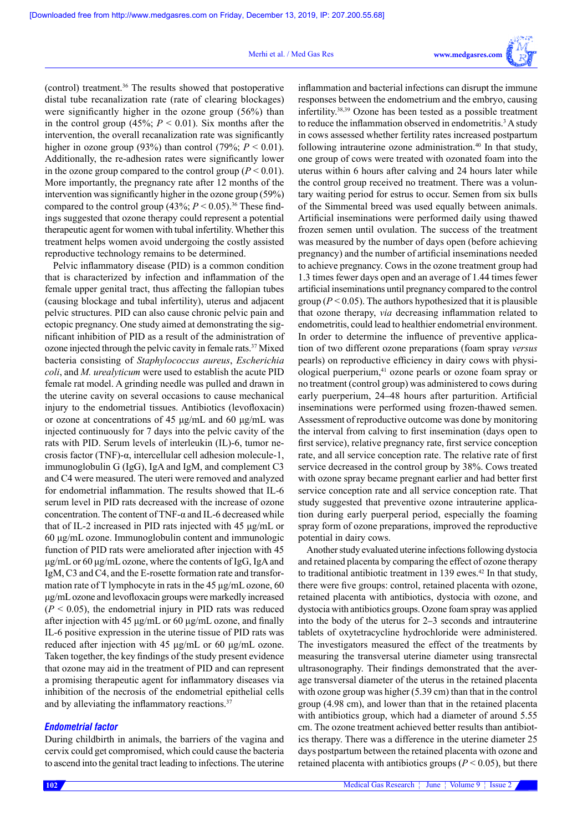#### Merhi et al. / Med Gas Res



(control) treatment.36 The results showed that postoperative distal tube recanalization rate (rate of clearing blockages) were significantly higher in the ozone group (56%) than in the control group (45%;  $P < 0.01$ ). Six months after the intervention, the overall recanalization rate was significantly higher in ozone group (93%) than control (79%;  $P < 0.01$ ). Additionally, the re-adhesion rates were significantly lower in the ozone group compared to the control group  $(P < 0.01)$ . More importantly, the pregnancy rate after 12 months of the intervention was significantly higher in the ozone group (59%) compared to the control group  $(43\%; P \le 0.05).^{36}$  These findings suggested that ozone therapy could represent a potential therapeutic agent for women with tubal infertility. Whether this treatment helps women avoid undergoing the costly assisted reproductive technology remains to be determined.

Pelvic inflammatory disease (PID) is a common condition that is characterized by infection and inflammation of the female upper genital tract, thus affecting the fallopian tubes (causing blockage and tubal infertility), uterus and adjacent pelvic structures. PID can also cause chronic pelvic pain and ectopic pregnancy. One study aimed at demonstrating the significant inhibition of PID as a result of the administration of ozone injected through the pelvic cavity in female rats.37 Mixed bacteria consisting of *Staphylococcus aureus*, *Escherichia coli*, and *M. urealyticum* were used to establish the acute PID female rat model. A grinding needle was pulled and drawn in the uterine cavity on several occasions to cause mechanical injury to the endometrial tissues. Antibiotics (levofloxacin) or ozone at concentrations of 45 μg/mL and 60 μg/mL was injected continuously for 7 days into the pelvic cavity of the rats with PID. Serum levels of interleukin (IL)-6, tumor necrosis factor (TNF)-α, intercellular cell adhesion molecule-1, immunoglobulin G (IgG), IgA and IgM, and complement C3 and C4 were measured. The uteri were removed and analyzed for endometrial inflammation. The results showed that IL-6 serum level in PID rats decreased with the increase of ozone concentration. The content of TNF- $\alpha$  and IL-6 decreased while that of IL-2 increased in PID rats injected with 45 μg/mL or 60 μg/mL ozone. Immunoglobulin content and immunologic function of PID rats were ameliorated after injection with 45 μg/mL or 60 μg/mL ozone, where the contents of IgG, IgA and IgM, C3 and C4, and the E-rosette formation rate and transformation rate of T lymphocyte in rats in the 45 μg/mL ozone, 60 μg/mL ozone and levofloxacin groups were markedly increased  $(P < 0.05)$ , the endometrial injury in PID rats was reduced after injection with 45 μg/mL or 60 μg/mL ozone, and finally IL-6 positive expression in the uterine tissue of PID rats was reduced after injection with 45 μg/mL or 60 μg/mL ozone. Taken together, the key findings of the study present evidence that ozone may aid in the treatment of PID and can represent a promising therapeutic agent for inflammatory diseases via inhibition of the necrosis of the endometrial epithelial cells and by alleviating the inflammatory reactions.<sup>37</sup>

## *Endometrial factor*

During childbirth in animals, the barriers of the vagina and cervix could get compromised, which could cause the bacteria to ascend into the genital tract leading to infections. The uterine responses between the endometrium and the embryo, causing infertility.38,39 Ozone has been tested as a possible treatment to reduce the inflammation observed in endometritis.<sup>3</sup> A study in cows assessed whether fertility rates increased postpartum following intrauterine ozone administration.<sup>40</sup> In that study, one group of cows were treated with ozonated foam into the uterus within 6 hours after calving and 24 hours later while the control group received no treatment. There was a voluntary waiting period for estrus to occur. Semen from six bulls of the Simmental breed was used equally between animals. Artificial inseminations were performed daily using thawed frozen semen until ovulation. The success of the treatment was measured by the number of days open (before achieving pregnancy) and the number of artificial inseminations needed to achieve pregnancy. Cows in the ozone treatment group had 1.3 times fewer days open and an average of 1.44 times fewer artificial inseminations until pregnancy compared to the control group ( $P < 0.05$ ). The authors hypothesized that it is plausible that [ozone therapy,](https://www.austinozone.com) *via* decreasing inflammation related to endometritis, could lead to healthier endometrial environment. In order to determine the influence of preventive application of two different ozone preparations (foam spray *versus* pearls) on reproductive efficiency in dairy cows with physiological puerperium,41 ozone pearls or ozone foam spray or no treatment (control group) was administered to cows during early puerperium, 24–48 hours after parturition. Artificial inseminations were performed using frozen-thawed semen. Assessment of reproductive outcome was done by monitoring the interval from calving to first insemination (days open to first service), relative pregnancy rate, first service conception rate, and all service conception rate. The relative rate of first service decreased in the control group by 38%. Cows treated with ozone spray became pregnant earlier and had better first service conception rate and all service conception rate. That study suggested that preventive ozone intrauterine application during early puerperal period, especially the foaming spray form of ozone preparations, improved the reproductive potential in dairy cows.

inflammation and bacterial infections can disrupt the immune

Another study evaluated uterine infections following dystocia and retained placenta by comparing the effect of ozone therapy to traditional antibiotic treatment in 139 ewes. $42$  In that study, there were five groups: control, retained placenta with ozone, retained placenta with antibiotics, dystocia with ozone, and dystocia with antibiotics groups. Ozone foam spray was applied into the body of the uterus for 2–3 seconds and intrauterine tablets of oxytetracycline hydrochloride were administered. The investigators measured the effect of the treatments by measuring the transversal uterine diameter using transrectal ultrasonography. Their findings demonstrated that the average transversal diameter of the uterus in the retained placenta with ozone group was higher (5.39 cm) than that in the control group (4.98 cm), and lower than that in the retained placenta with antibiotics group, which had a diameter of around 5.55 cm. The ozone treatment achieved better results than antibiotics therapy. There was a difference in the uterine diameter 25 days postpartum between the retained placenta with ozone and retained placenta with antibiotics groups ( $P \le 0.05$ ), but there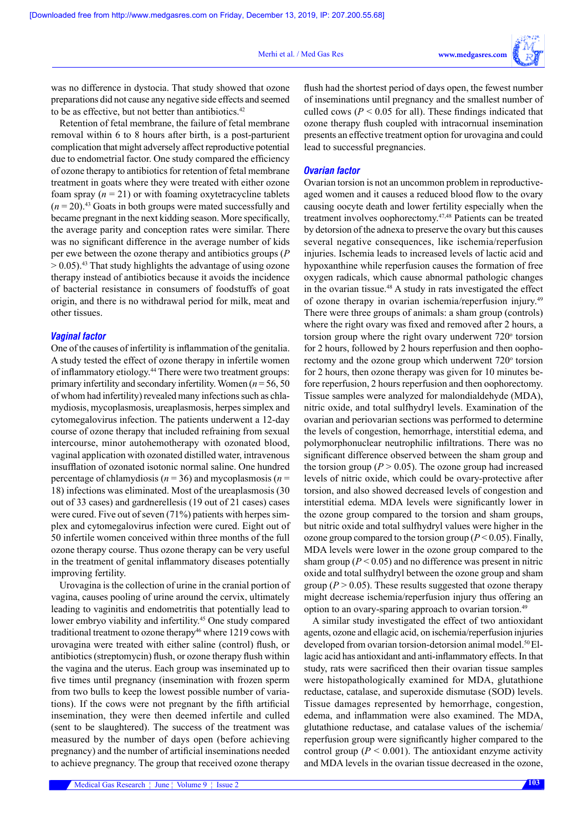was no difference in dystocia. That study showed that ozone preparations did not cause any negative side effects and seemed to be as effective, but not better than antibiotics.<sup>42</sup>

Retention of fetal membrane, the failure of fetal membrane removal within 6 to 8 hours after birth, is a post-parturient complication that might adversely affect reproductive potential due to endometrial factor. One study compared the efficiency of ozone therapy to antibiotics for retention of fetal membrane treatment in goats where they were treated with either ozone foam spray  $(n = 21)$  or with foaming oxytetracycline tablets  $(n=20).43$  Goats in both groups were mated successfully and became pregnant in the next kidding season. More specifically, the average parity and conception rates were similar. There was no significant difference in the average number of kids per ewe between the ozone therapy and antibiotics groups (*P*  $> 0.05$ ).<sup>43</sup> That study highlights the advantage of using ozone therapy instead of antibiotics because it avoids the incidence of bacterial resistance in consumers of foodstuffs of goat origin, and there is no withdrawal period for milk, meat and other tissues.

### *Vaginal factor*

One of the causes of infertility is inflammation of the genitalia. A study tested the effect of ozone therapy in infertile women of inflammatory etiology.44 There were two treatment groups: primary infertility and secondary infertility. Women (*n* = 56, 50 of whom had infertility) revealed many infections such as chlamydiosis, mycoplasmosis, ureaplasmosis, herpes simplex and cytomegalovirus infection. The patients underwent a 12-day course of ozone therapy that included refraining from sexual intercourse, minor autohemotherapy with ozonated blood, vaginal application with ozonated distilled water, intravenous insufflation of ozonated isotonic normal saline. One hundred percentage of chlamydiosis (*n* = 36) and mycoplasmosis (*n* = 18) infections was eliminated. Most of the ureaplasmosis (30 out of 33 cases) and gardnerellesis (19 out of 21 cases) cases were cured. Five out of seven (71%) patients with herpes simplex and cytomegalovirus infection were cured. Eight out of 50 infertile women conceived within three months of the full ozone therapy course. Thus ozone therapy can be very useful in the treatment of genital inflammatory diseases potentially improving fertility.

Urovagina is the collection of urine in the cranial portion of vagina, causes pooling of urine around the cervix, ultimately leading to vaginitis and endometritis that potentially lead to lower embryo viability and infertility.45 One study compared traditional treatment to ozone therapy<sup>46</sup> where 1219 cows with urovagina were treated with either saline (control) flush, or antibiotics (streptomycin) flush, or ozone therapy flush within the vagina and the uterus. Each group was inseminated up to five times until pregnancy (insemination with frozen sperm from two bulls to keep the lowest possible number of variations). If the cows were not pregnant by the fifth artificial insemination, they were then deemed infertile and culled (sent to be slaughtered). The success of the treatment was measured by the number of days open (before achieving pregnancy) and the number of artificial inseminations needed to achieve pregnancy. The group that received ozone therapy

flush had the shortest period of days open, the fewest number of inseminations until pregnancy and the smallest number of culled cows ( $P < 0.05$  for all). These findings indicated that ozone therapy flush coupled with intracornual insemination presents an effective treatment option for urovagina and could lead to successful pregnancies.

## *Ovarian factor*

Ovarian torsion is not an uncommon problem in reproductiveaged women and it causes a reduced blood flow to the ovary causing oocyte death and lower fertility especially when the treatment involves oophorectomy.47,48 Patients can be treated by detorsion of the adnexa to preserve the ovary but this causes several negative consequences, like ischemia/reperfusion injuries. Ischemia leads to increased levels of lactic acid and hypoxanthine while reperfusion causes the formation of free oxygen radicals, which cause abnormal pathologic changes in the ovarian tissue.<sup>48</sup> A study in rats investigated the effect of ozone therapy in ovarian ischemia/reperfusion injury.49 There were three groups of animals: a sham group (controls) where the right ovary was fixed and removed after 2 hours, a torsion group where the right ovary underwent  $720^\circ$  torsion for 2 hours, followed by 2 hours reperfusion and then oophorectomy and the ozone group which underwent  $720^\circ$  torsion for 2 hours, then ozone therapy was given for 10 minutes before reperfusion, 2 hours reperfusion and then oophorectomy. Tissue samples were analyzed for malondialdehyde (MDA), nitric oxide, and total sulfhydryl levels. Examination of the ovarian and periovarian sections was performed to determine the levels of congestion, hemorrhage, interstitial edema, and polymorphonuclear neutrophilic infiltrations. There was no significant difference observed between the sham group and the torsion group ( $P > 0.05$ ). The ozone group had increased levels of nitric oxide, which could be ovary-protective after torsion, and also showed decreased levels of congestion and interstitial edema. MDA levels were significantly lower in the ozone group compared to the torsion and sham groups, but nitric oxide and total sulfhydryl values were higher in the ozone group compared to the torsion group ( $P < 0.05$ ). Finally, MDA levels were lower in the ozone group compared to the sham group  $(P < 0.05)$  and no difference was present in nitric oxide and total sulfhydryl between the ozone group and sham group ( $P > 0.05$ ). These results suggested that ozone therapy might decrease ischemia/reperfusion injury thus offering an option to an ovary-sparing approach to ovarian torsion.49

A similar study investigated the effect of two antioxidant agents, ozone and ellagic acid, on ischemia/reperfusion injuries developed from ovarian torsion-detorsion animal model.<sup>50</sup> Ellagic acid has antioxidant and anti-inflammatory effects. In that study, rats were sacrificed then their ovarian tissue samples were histopathologically examined for MDA, glutathione reductase, catalase, and superoxide dismutase (SOD) levels. Tissue damages represented by hemorrhage, congestion, edema, and inflammation were also examined. The MDA, glutathione reductase, and catalase values of the ischemia/ reperfusion group were significantly higher compared to the control group ( $P \le 0.001$ ). The antioxidant enzyme activity and MDA levels in the ovarian tissue decreased in the ozone,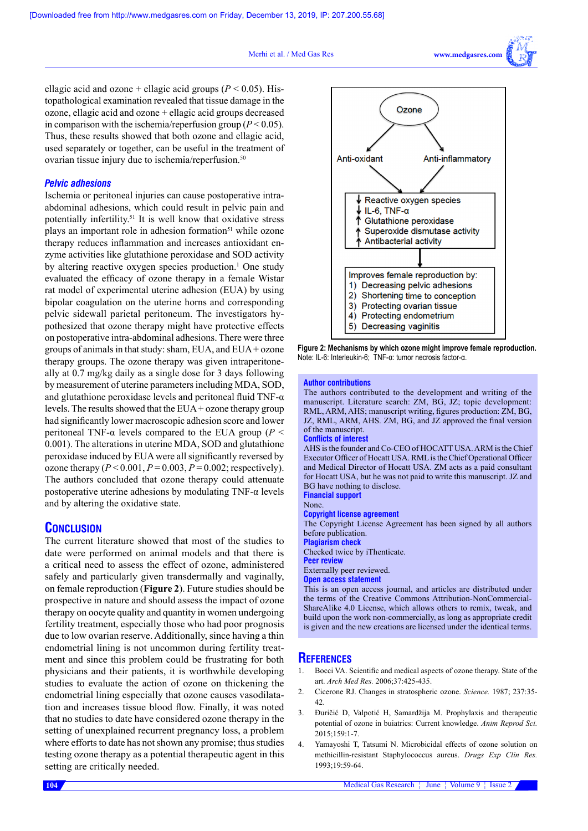#### Merhi et al. / Med Gas Res



ellagic acid and ozone + ellagic acid groups ( $P < 0.05$ ). Histopathological examination revealed that tissue damage in the ozone, ellagic acid and ozone + ellagic acid groups decreased in comparison with the ischemia/reperfusion group  $(P < 0.05)$ . Thus, these results showed that both ozone and ellagic acid, used separately or together, can be useful in the treatment of ovarian tissue injury due to ischemia/reperfusion.<sup>50</sup>

## *Pelvic adhesions*

Ischemia or peritoneal injuries can cause postoperative intraabdominal adhesions, which could result in pelvic pain and potentially infertility.51 It is well know that oxidative stress plays an important role in adhesion formation<sup>51</sup> while ozone therapy reduces inflammation and increases antioxidant enzyme activities like glutathione peroxidase and SOD activity by altering reactive oxygen species production.<sup>1</sup> One study evaluated the efficacy of ozone therapy in a female Wistar rat model of experimental uterine adhesion (EUA) by using bipolar coagulation on the uterine horns and corresponding pelvic sidewall parietal peritoneum. The investigators hypothesized that ozone therapy might have protective effects on postoperative intra-abdominal adhesions. There were three groups of animals in that study: sham, EUA, and EUA + ozone therapy groups. The ozone therapy was given intraperitoneally at 0.7 mg/kg daily as a single dose for 3 days following by measurement of uterine parameters including MDA, SOD, and glutathione peroxidase levels and peritoneal fluid TNF- $\alpha$ levels. The results showed that the  $EUA + ozone$  therapy group had significantly lower macroscopic adhesion score and lower peritoneal TNF-α levels compared to the EUA group (*P* < 0.001). The alterations in uterine MDA, SOD and glutathione peroxidase induced by EUA were all significantly reversed by ozone therapy  $(P < 0.001, P = 0.003, P = 0.002$ ; respectively). The authors concluded that ozone therapy could attenuate postoperative uterine adhesions by modulating TNF-α levels and by altering the oxidative state.

## **CONCLUSION**

The current literature showed that most of the studies to date were performed on animal models and that there is a critical need to assess the effect of ozone, administered safely and particularly given transdermally and vaginally, on female reproduction (**Figure 2**). Future studies should be prospective in nature and should assess the impact of ozone therapy on oocyte quality and quantity in women undergoing fertility treatment, especially those who had poor prognosis due to low ovarian reserve. Additionally, since having a thin endometrial lining is not uncommon during fertility treatment and since this problem could be frustrating for both physicians and their patients, it is worthwhile developing studies to evaluate the action of ozone on thickening the endometrial lining especially that ozone causes vasodilatation and increases tissue blood flow. Finally, it was noted that no studies to date have considered ozone therapy in the setting of unexplained recurrent pregnancy loss, a problem where efforts to date has not shown any promise; thus studies testing ozone therapy as a potential therapeutic agent in this setting are critically needed.



**Figure 2: Mechanisms by which ozone might improve female reproduction.** Note: IL-6: Interleukin-6; TNF-α: tumor necrosis factor-α.

#### **Author contributions**

The authors contributed to the development and writing of the manuscript. Literature search: ZM, BG, JZ; topic development: RML, ARM, AHS; manuscript writing, figures production: ZM, BG, JZ, RML, ARM, AHS. ZM, BG, and JZ approved the final version of the manuscript.

#### **Conflicts of interest**

AHS is the founder and Co-CEO of HOCATT USA. ARM is the Chief Executor Officer of Hocatt USA. RML is the Chief Operational Officer and Medical Director of Hocatt USA. ZM acts as a paid consultant for Hocatt USA, but he was not paid to write this manuscript. JZ and BG have nothing to disclose. **Financial support** 

None.

#### **Copyright license agreement**

The Copyright License Agreement has been signed by all authors before publication.

**Plagiarism check** 

Checked twice by iThenticate.

**Peer review**

Externally peer reviewed.

**Open access statement**

This is an open access journal, and articles are distributed under the terms of the Creative Commons Attribution-NonCommercial-ShareAlike 4.0 License, which allows others to remix, tweak, and build upon the work non-commercially, as long as appropriate credit is given and the new creations are licensed under the identical terms.

## **References**

- 1. Bocci VA. Scientific and medical aspects of ozone therapy. State of the art. *Arch Med Res.* 2006;37:425-435.
- 2. Cicerone RJ. Changes in stratospheric ozone. *Science.* 1987; 237:35- 42.
- 3. Đuričić D, Valpotić H, Samardžija M. Prophylaxis and therapeutic potential of ozone in buiatrics: Current knowledge. *Anim Reprod Sci.*   $2015:159:1-7$
- 4. Yamayoshi T, Tatsumi N. Microbicidal effects of ozone solution on methicillin-resistant Staphylococcus aureus. *Drugs Exp Clin Res.* 1993;19:59-64.